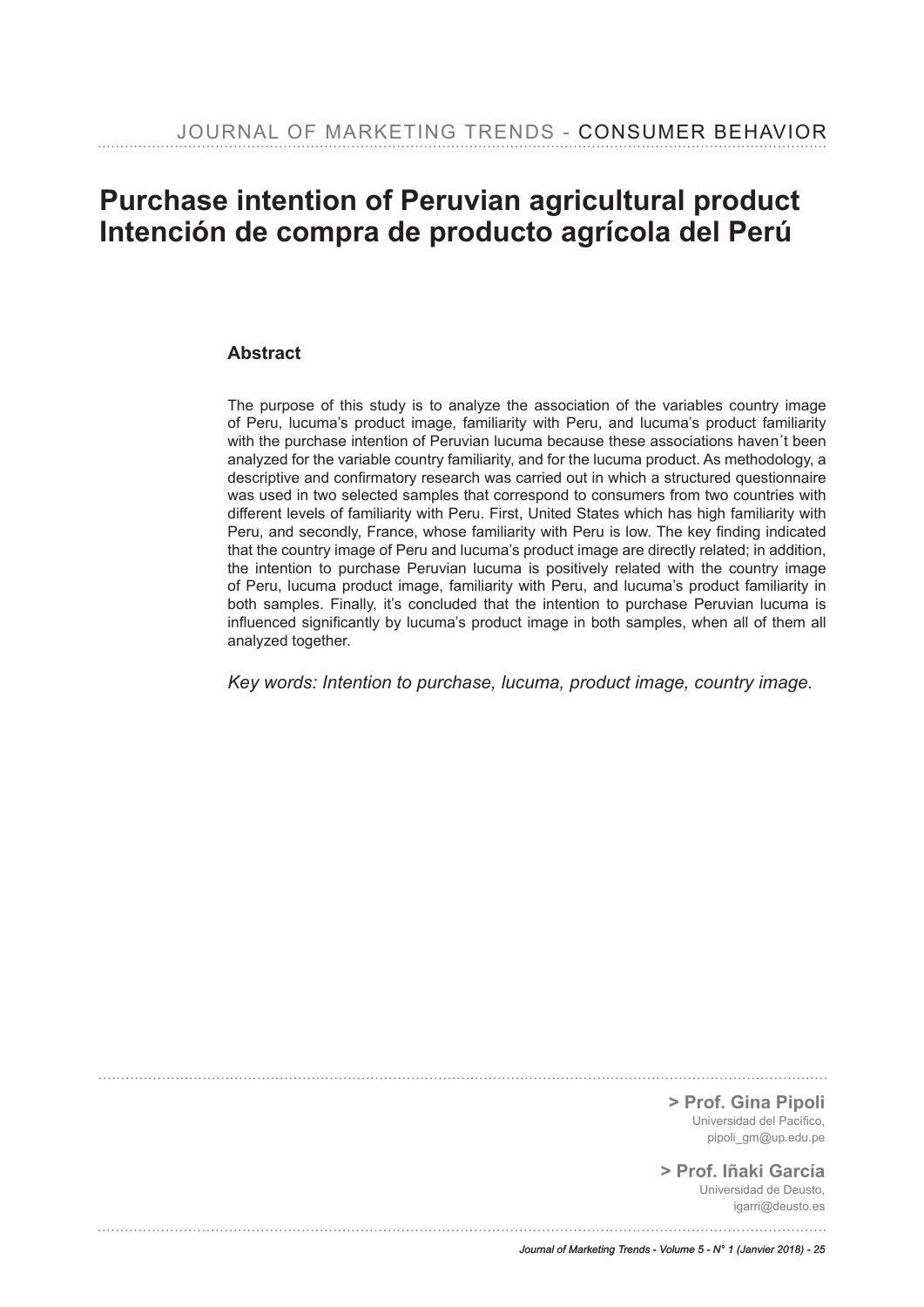# **Purchase intention of Peruvian agricultural product Intención de compra de producto agrícola del Perú**

### **Abstract**

The purpose of this study is to analyze the association of the variables country image of Peru, lucuma's product image, familiarity with Peru, and lucuma's product familiarity with the purchase intention of Peruvian lucuma because these associations haven´t been analyzed for the variable country familiarity, and for the lucuma product. As methodology, a descriptive and confrmatory research was carried out in which a structured questionnaire was used in two selected samples that correspond to consumers from two countries with different levels of familiarity with Peru. First, United States which has high familiarity with Peru, and secondly, France, whose familiarity with Peru is low. The key fnding indicated that the country image of Peru and lucuma's product image are directly related; in addition, the intention to purchase Peruvian lucuma is positively related with the country image of Peru, lucuma product image, familiarity with Peru, and lucuma's product familiarity in both samples. Finally, it's concluded that the intention to purchase Peruvian lucuma is infuenced signifcantly by lucuma's product image in both samples, when all of them all analyzed together.

*Key words: Intention to purchase, lucuma, product image, country image.*

**> Prof. Gina Pipoli** Universidad del Pacífico. pipoli\_gm@up.edu.pe

**> Prof. Iñaki García** Universidad de Deusto, igarri@deusto.es

*Journal of Marketing Trends - Volume 5 - N° 1 (Janvier 2018) - 25*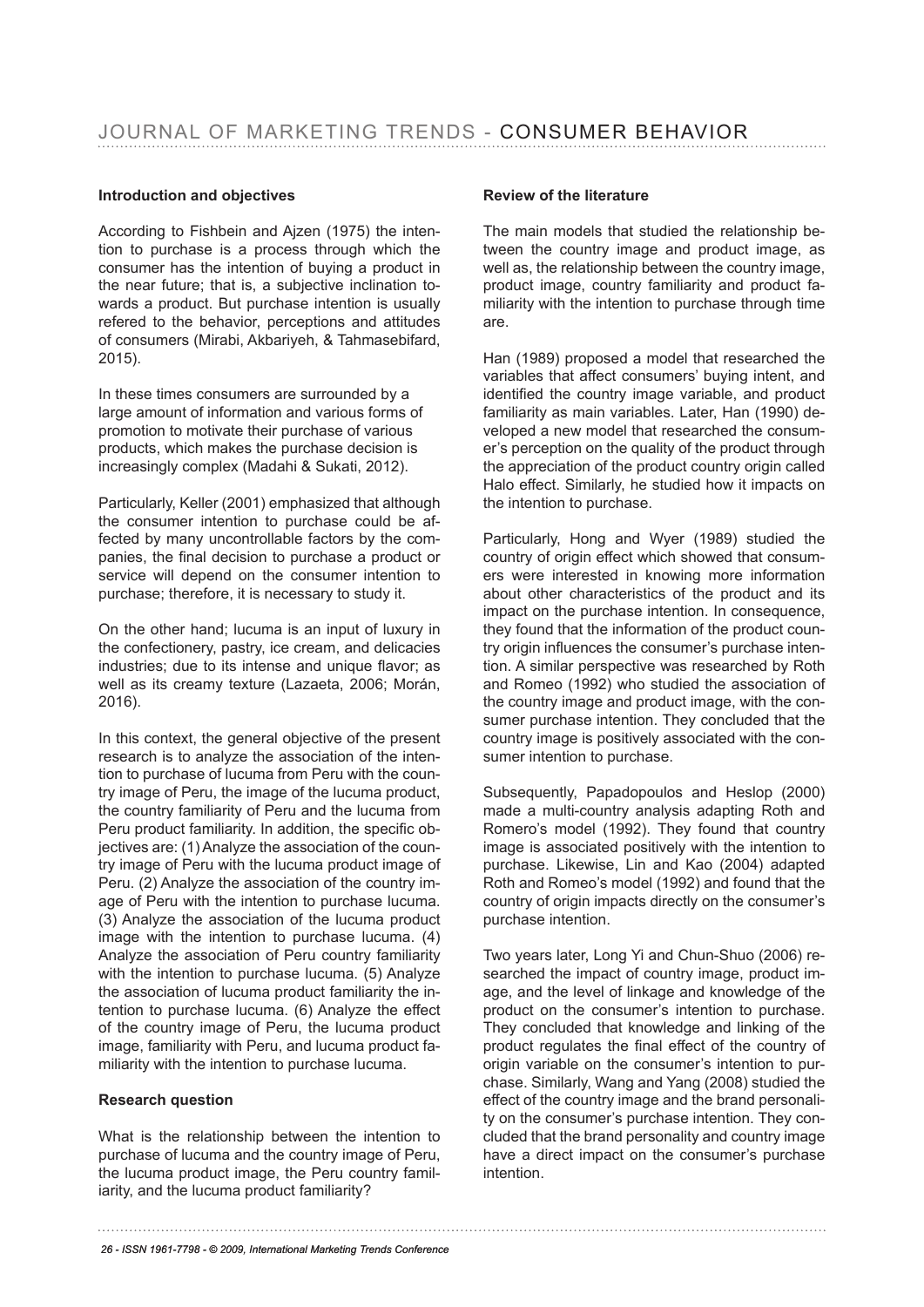### **Introduction and objectives**

According to Fishbein and Ajzen (1975) the intention to purchase is a process through which the consumer has the intention of buying a product in the near future; that is, a subjective inclination towards a product. But purchase intention is usually refered to the behavior, perceptions and attitudes of consumers (Mirabi, Akbariyeh, & Tahmasebifard, 2015).

In these times consumers are surrounded by a large amount of information and various forms of promotion to motivate their purchase of various products, which makes the purchase decision is increasingly complex (Madahi & Sukati, 2012).

Particularly, Keller (2001) emphasized that although the consumer intention to purchase could be affected by many uncontrollable factors by the companies, the final decision to purchase a product or service will depend on the consumer intention to purchase; therefore, it is necessary to study it.

On the other hand; lucuma is an input of luxury in the confectionery, pastry, ice cream, and delicacies industries; due to its intense and unique favor; as well as its creamy texture (Lazaeta, 2006; Morán, 2016).

In this context, the general objective of the present research is to analyze the association of the intention to purchase of lucuma from Peru with the country image of Peru, the image of the lucuma product, the country familiarity of Peru and the lucuma from Peru product familiarity. In addition, the specific objectives are: (1) Analyze the association of the country image of Peru with the lucuma product image of Peru. (2) Analyze the association of the country image of Peru with the intention to purchase lucuma. (3) Analyze the association of the lucuma product image with the intention to purchase lucuma. (4) Analyze the association of Peru country familiarity with the intention to purchase lucuma. (5) Analyze the association of lucuma product familiarity the intention to purchase lucuma. (6) Analyze the effect of the country image of Peru, the lucuma product image, familiarity with Peru, and lucuma product familiarity with the intention to purchase lucuma.

### **Research question**

What is the relationship between the intention to purchase of lucuma and the country image of Peru, the lucuma product image, the Peru country familiarity, and the lucuma product familiarity?

### **Review of the literature**

The main models that studied the relationship between the country image and product image, as well as, the relationship between the country image, product image, country familiarity and product familiarity with the intention to purchase through time are.

Han (1989) proposed a model that researched the variables that affect consumers' buying intent, and identifed the country image variable, and product familiarity as main variables. Later, Han (1990) developed a new model that researched the consumer's perception on the quality of the product through the appreciation of the product country origin called Halo effect. Similarly, he studied how it impacts on the intention to purchase.

Particularly, Hong and Wyer (1989) studied the country of origin effect which showed that consumers were interested in knowing more information about other characteristics of the product and its impact on the purchase intention. In consequence, they found that the information of the product country origin infuences the consumer's purchase intention. A similar perspective was researched by Roth and Romeo (1992) who studied the association of the country image and product image, with the consumer purchase intention. They concluded that the country image is positively associated with the consumer intention to purchase.

Subsequently, Papadopoulos and Heslop (2000) made a multi-country analysis adapting Roth and Romero's model (1992). They found that country image is associated positively with the intention to purchase. Likewise, Lin and Kao (2004) adapted Roth and Romeo's model (1992) and found that the country of origin impacts directly on the consumer's purchase intention.

Two years later, Long Yi and Chun-Shuo (2006) researched the impact of country image, product image, and the level of linkage and knowledge of the product on the consumer's intention to purchase. They concluded that knowledge and linking of the product regulates the final effect of the country of origin variable on the consumer's intention to purchase. Similarly, Wang and Yang (2008) studied the effect of the country image and the brand personality on the consumer's purchase intention. They concluded that the brand personality and country image have a direct impact on the consumer's purchase intention.

*26 - ISSN 1961-7798 - © 2009, International Marketing Trends Conference*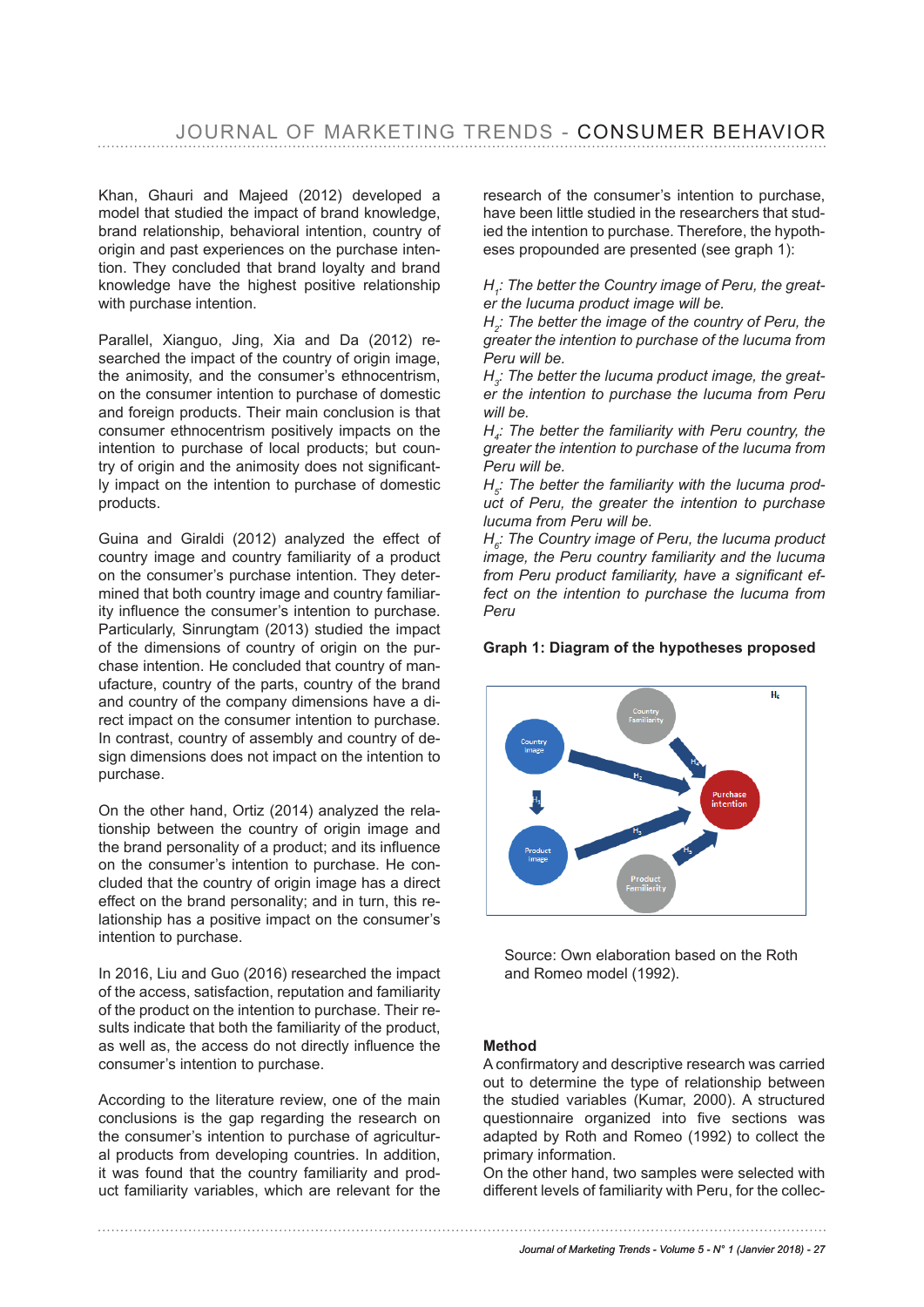Khan, Ghauri and Majeed (2012) developed a model that studied the impact of brand knowledge, brand relationship, behavioral intention, country of origin and past experiences on the purchase intention. They concluded that brand loyalty and brand knowledge have the highest positive relationship with purchase intention.

Parallel, Xianguo, Jing, Xia and Da (2012) researched the impact of the country of origin image, the animosity, and the consumer's ethnocentrism, on the consumer intention to purchase of domestic and foreign products. Their main conclusion is that consumer ethnocentrism positively impacts on the intention to purchase of local products; but country of origin and the animosity does not significantly impact on the intention to purchase of domestic products.

Guina and Giraldi (2012) analyzed the effect of country image and country familiarity of a product on the consumer's purchase intention. They determined that both country image and country familiarity influence the consumer's intention to purchase. Particularly, Sinrungtam (2013) studied the impact of the dimensions of country of origin on the purchase intention. He concluded that country of manufacture, country of the parts, country of the brand and country of the company dimensions have a direct impact on the consumer intention to purchase. In contrast, country of assembly and country of design dimensions does not impact on the intention to purchase.

On the other hand, Ortiz (2014) analyzed the relationship between the country of origin image and the brand personality of a product; and its influence on the consumer's intention to purchase. He concluded that the country of origin image has a direct effect on the brand personality; and in turn, this relationship has a positive impact on the consumer's intention to purchase.

In 2016, Liu and Guo (2016) researched the impact of the access, satisfaction, reputation and familiarity of the product on the intention to purchase. Their results indicate that both the familiarity of the product, as well as, the access do not directly influence the consumer's intention to purchase.

According to the literature review, one of the main conclusions is the gap regarding the research on the consumer's intention to purchase of agricultural products from developing countries. In addition, it was found that the country familiarity and product familiarity variables, which are relevant for the research of the consumer's intention to purchase, have been little studied in the researchers that studied the intention to purchase. Therefore, the hypotheses propounded are presented (see graph 1):

*H1 : The better the Country image of Peru, the greater the lucuma product image will be.* 

*H2 : The better the image of the country of Peru, the greater the intention to purchase of the lucuma from Peru will be.*

*H3 : The better the lucuma product image, the greater the intention to purchase the lucuma from Peru will be.*

*H4 : The better the familiarity with Peru country, the greater the intention to purchase of the lucuma from Peru will be.*

*H5 : The better the familiarity with the lucuma product of Peru, the greater the intention to purchase lucuma from Peru will be.* 

*H6 : The Country image of Peru, the lucuma product image, the Peru country familiarity and the lucuma*  from Peru product familiarity, have a significant ef*fect on the intention to purchase the lucuma from Peru H6: The Country image of Peru, the lucuma product image, the Peru country familiarity and the lucuma from Peru product familiarity, have a significant effect on the intention to* 

### **Graph 1: Diagram of the hypotheses proposed Graph 1: Diagram of the hypotheses proposed**



Source: Own elaboration based on the Roth and Romeo model (1992).

#### **Method**

A confirmatory and descriptive research was carried out to determine the type of relationship between the studied variables (Kumar, 2000). A structured questionnaire organized into five sections was adapted by Roth and Romeo (1992) to collect the primary information.

On the other hand, two samples were selected with different levels of familiarity with Peru, for the collecbetween the studied variables (Kumar, 2000). A structured questionnaire organized into five

### *Journal of Marketing Trends - Volume 5 - N° 1 (Janvier 2018) - 27*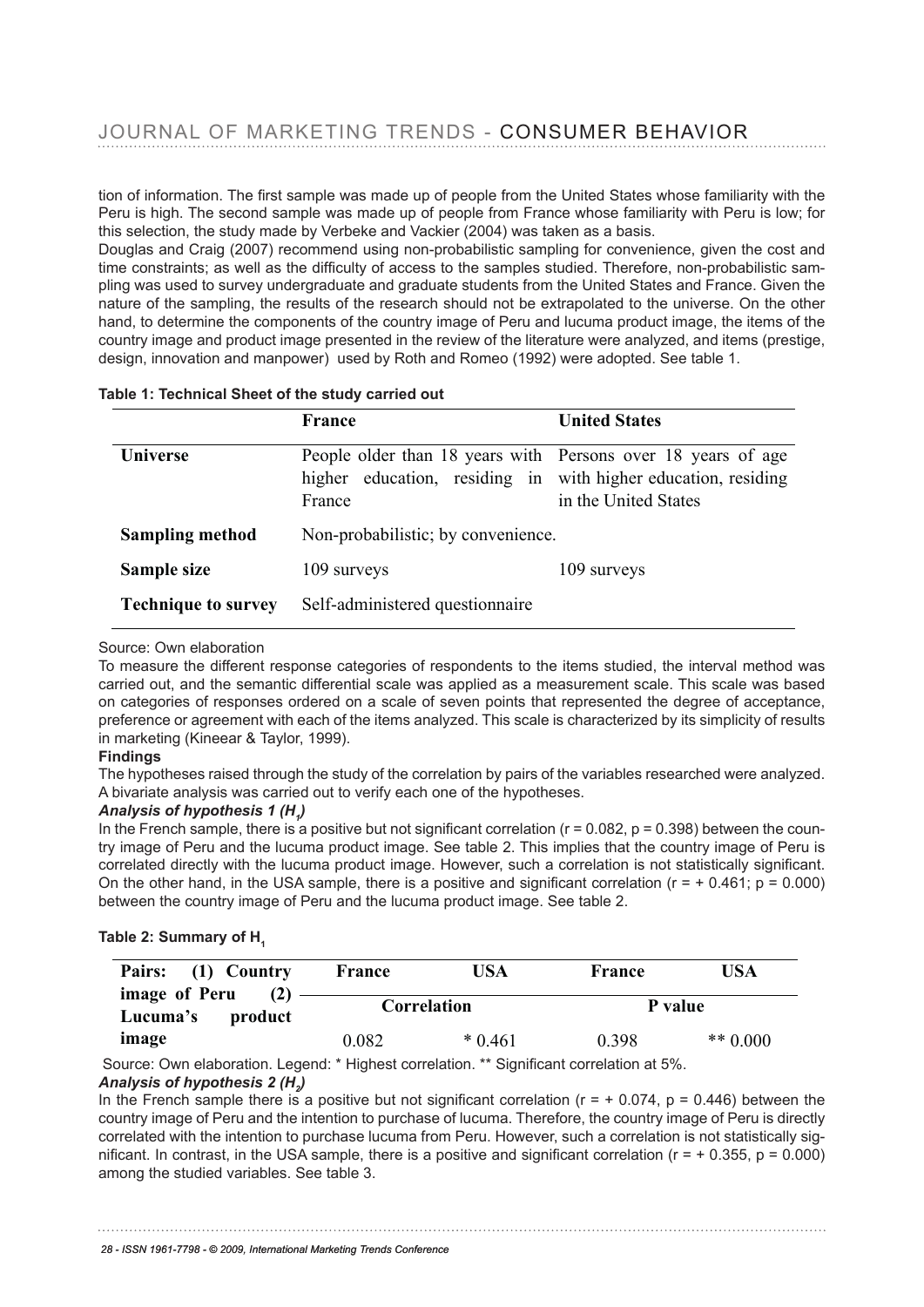tion of information. The first sample was made up of people from the United States whose familiarity with the Peru is high. The second sample was made up of people from France whose familiarity with Peru is low; for Peru is low; for this selection, the study made by Verbeke and Vackier (2004) was taken as a basis.

Douglas and Craig (2007) recommend using non-probabilistic sampling for convenience, given the cost and time constraints; as well as the difficulty of access to the samples studied. Therefore, non-probabilistic sampling was used to survey undergraduate and graduate students from the United States and France. Given the components of the items of the items of the items of the items of the items of the items of the items of the items o nature of the sampling, the results of the research should not be extrapolated to the universe. On the other riature or the sampling, the results or the research should not be extrapolated to the universe. On the other<br>hand, to determine the components of the country image of Peru and lucuma product image, the items of the nand, to actemme the components of the country image of Ferd and facama product mage, the fields of the country image and product image presented in the review of the literature were analyzed, and items (prestige, design, innovation and manpower) used by Roth and Romeo (1992) were adopted. See table 1. See table 1.

|  | Table 1: Technical Sheet of the study carried out |  |  |  |
|--|---------------------------------------------------|--|--|--|
|  |                                                   |  |  |  |

|                            | <b>France</b>                                                                                                                           | <b>United States</b> |
|----------------------------|-----------------------------------------------------------------------------------------------------------------------------------------|----------------------|
| <b>Universe</b>            | People older than 18 years with Persons over 18 years of age<br>higher education, residing in with higher education, residing<br>France | in the United States |
| <b>Sampling method</b>     | Non-probabilistic; by convenience.                                                                                                      |                      |
| Sample size                | 109 surveys                                                                                                                             | 109 surveys          |
| <b>Technique to survey</b> | Self-administered questionnaire                                                                                                         |                      |

## Source: Own elaboration Source: Own elaboration

To measure the different response categories of respondents to the items studied, the interval method was provided at the compatibility of the interval method was provided at the compatibility of the interval method. carried out, and the semantic differential scale was applied as a measurement scale. This scale was based carried out, and the semantic differential scale was applied as a measurement scale. This scale was based<br>on categories of responses ordered on a scale of seven points that represented the degree of acceptance, on categories or responses eracted on a scale or seven points that represented the asgree or asseptance, preference or agreement with each of the items analyzed. This scale is characterized by its simplicity of results in marketing (Kineear & Taylor, 1999). The degree of acceptance of acceptance of a control of the items of the i

#### **Findings**  $\Delta$  dings is characterized. This scale is simplicity of results in marketing (Kineear  $\Delta$

The hypotheses raised through the study of the correlation by pairs of the variables researched were analyzed. A bivariate analysis was carried out to verify each one of the hypotheses.

## *Analysis of hypothesis 1 (H1 )* **Findings**

In the French sample, there is a positive but not significant correlation ( $r = 0.082$ ,  $p = 0.398$ ) between the country image of Peru and the lucuma product image. See table 2. This implies that the country image of Peru is the variables researched through the variables researched through the variables researched the variables researche correlated directly with the lucuma product image. However, such a correlation is not statistically significant. On the other hand, in the USA sample, there is a positive and significant correlation ( $r = +0.461$ ;  $p = 0.000$ ) between the country image of Peru and the lucuma product image. See table 2.

## Table 2: Summary of H<sub>1</sub>

| Pairs: (1) Country                   | France | USA         | France | USA        |
|--------------------------------------|--------|-------------|--------|------------|
| image of Peru<br>Lucuma's<br>product |        | Correlation |        | P value    |
| image                                | 0.082  | $*0461$     | 0.398  | ** $0.000$ |

Source: Own elaboration. Legend: \* Highest correlation. \*\* Significant correlation at 5%. *Analysis of hypothesis 2 (H2 )* Source: Own elaboration. Legend: \* Highest correlation. \*\* Significant correlation at 5%.

In the French sample there is a positive but not significant correlation ( $r = +0.074$ ,  $p = 0.446$ ) between the an the French sample there is a positive but not significant correlation (i = + 0.074, p = 0.440) between the<br>country image of Peru and the intention to purchase of lucuma. Therefore, the country image of Peru is directly correlated with the intention to purchase lucuma from Peru. However, such a correlation is not statistically sig-5 nificant. In contrast, in the USA sample, there is a positive and significant correlation (r = + 0.355, p = 0.000)<br>cmang the studied variables. See table 2 among the studied variables. See table 3. related with the intention to purchase lucuma from Peru. However, such a correlation is not statistically s

there is a positive and significant correlation (respective and significant correlation (respective and studie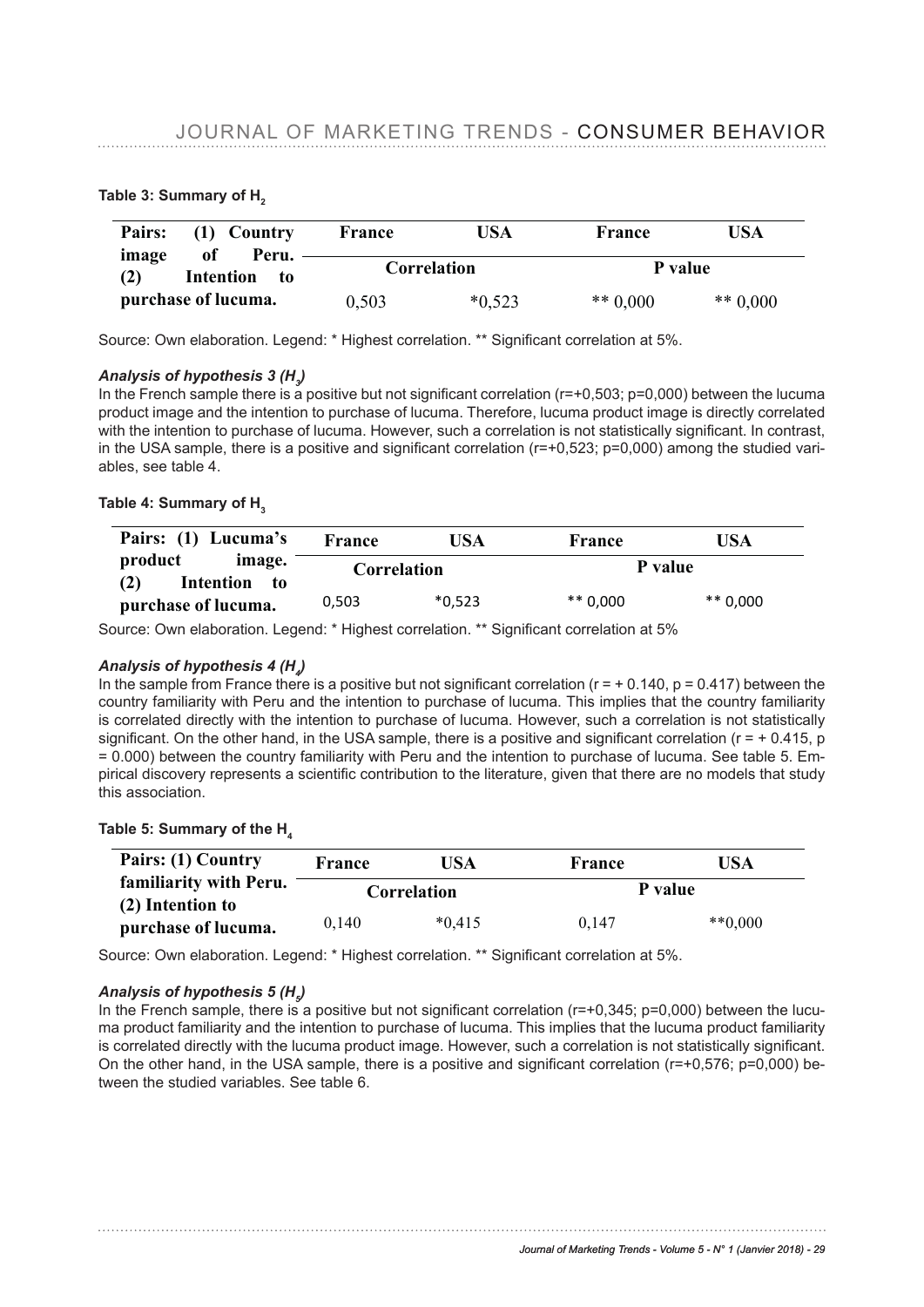| Pairs: 11 Country France 11 USA USA France 11 USA USA Prince 11 USA<br>of<br>Peru.<br>image | Correlation |             | P value    |            |
|---------------------------------------------------------------------------------------------|-------------|-------------|------------|------------|
| Table <sup>2</sup> 3: Summary of H <sub>2</sub> to<br>purchase of lucuma.                   | 0,503       | $*0,523$    | ** $0.000$ | ** $0.000$ |
| Pairs:<br>Country<br>(1)<br><sub>of</sub><br>Peru.                                          | France      | USA         | France     | <b>USA</b> |
| image<br><b>Intention</b><br>(2)<br>to                                                      |             | Correlation | P value    |            |
| purchase of lucuma.                                                                         | 0,503       | $*0,523$    | ** $0.000$ | ** $0.000$ |

**Deire JOURNAL OF MARKETING TRENDS - CONSUMER BEHAVIOR** 

Source: Own elaboration. Legend: \* Highest correlation. \*\* Significant correlation at 5%.

# $\bm{A}$ nalysis of hypothesis 3 (H<sub>3</sub>)

In the French sample there is a positive but not significant correlation (r=+0,503; p=0,000) between the lucuma product image and the intention to purchase of lucuma. Therefore, lucuma product image is directly correlated<br>product image and the intention to purchase of lucuma. Therefore, lucuma product image is directly correlated with the intention to purchase of lucuma. However, such a correlation is not statistically significant. In contrast, in the USA sample, there is a positive and significant correlation (r=+0,523; p=0,000) among the studied vari-<br>chlos, see table 4. ables, see table 4.  $\mu$ , see idirectly correlated with the intention to purchase of lucuma.

## **Fable 4: Summary of H<sub>3</sub>**

| Pairs: (1) Lucuma's                                                                                                                       | <b>France</b> | USA      | France     | USA        |
|-------------------------------------------------------------------------------------------------------------------------------------------|---------------|----------|------------|------------|
| product<br>image.<br>Intention to<br>(2)                                                                                                  | Correlation   |          | P value    |            |
| purchase of lucuma.                                                                                                                       | 0.503         | $*0.523$ | $** 0.000$ | ** $0.000$ |
| Sourair©wnlelabousumaLegend:Fridinidest correlationSA* Significant obrachation at 5%                                                      |               |          |            | <b>USA</b> |
| product<br>image.<br>Analysis of typothesis $\frac{2}{4}$<br>Analysis of typothesis $\frac{2}{4}$<br>Analysis of typothesis $\frac{2}{4}$ | Correlation   |          | P value    |            |

In the sample from France there is a positive but not significant correlation (r  $\bar{c}$  of 0.140, p = 0.417) between the country familiarity with Peru and the intention to purchase of lucuma. This implies that the country familiarity is correlated directly with the intention to purchase of lucuma. However, such a correlation is not statistically significant. On the other hand, in the USA sample, there is a positive and significant correlation  $(r = +0.415, p)$ = 0.000) between the country familiarity with Peru and the intention to purchase of lucuma. See table 5. Empirical discovery represents a scientific contribution to the literature, given that there are no models that study<br>"Literature of the country familiary of the intention to the literature, given that there are no models th this association. *Analysis of hypothesis 4 (H4)* ne sample hold I failte there is a hostlive but hox a grid with correlative b 600<sup>0</sup>. The p = 0 \*\* 0,000 the country<br>**PHICHASE OF LUCUTBA**LL and the intention to purchase of lucuma. This implies that the country *Analysis of hypothesis 4 (H4)*  $\lambda$  describing. However, such a correlation is not statistically significant. On the other hand, in the other hand, in the other hand, in the other hand, in the other hand, in the other hand, in the other hand, in the ot no sample not had study to the page of

## Table 5: Summary of the  $H_4$

| Pairs: (1) Country                         | France | USA                | France  | USA       |
|--------------------------------------------|--------|--------------------|---------|-----------|
| familiarity with Peru.<br>(2) Intention to |        | <b>Correlation</b> | P value |           |
| purchase of lucuma.                        | 0.140  | $*0.415$           | 0.147   | $**0,000$ |

Source: Own elaboration. Legend: \* Highest correlation. \*\* Signifcant correlation at 5%. Source: Own elaboration. Legend: \* Highest correlation. \*\* Significant correlation at 5%.

### *Analysis of hypothesis 5 (H5 )*

In the French sample, there is a positive but not significant correlation ( $r=+0.345$ ;  $p=0.000$ ) between the lucuma product familiarity and the intention to purchase of lucuma. This implies that the lucuma product familiarity *Analysis of hypothesis 5 (H5)* is correlated directly with the lucuma product image. However, such a correlation is not statistically significant. On the other hand, in the USA sample, there is a positive and significant correlation (r=+0,576; p=0,000) between the studied variables. See table 6.

**Pairs: (1) Lucuma product familiarity. (2) Intention to** 

**Table 6: Summary of H5**

**France** USA<sup>*lournal of Marketing Trends - Volume 5 - N° 1 (Janvier 2018) - 29*</sup>

**Correlation P value**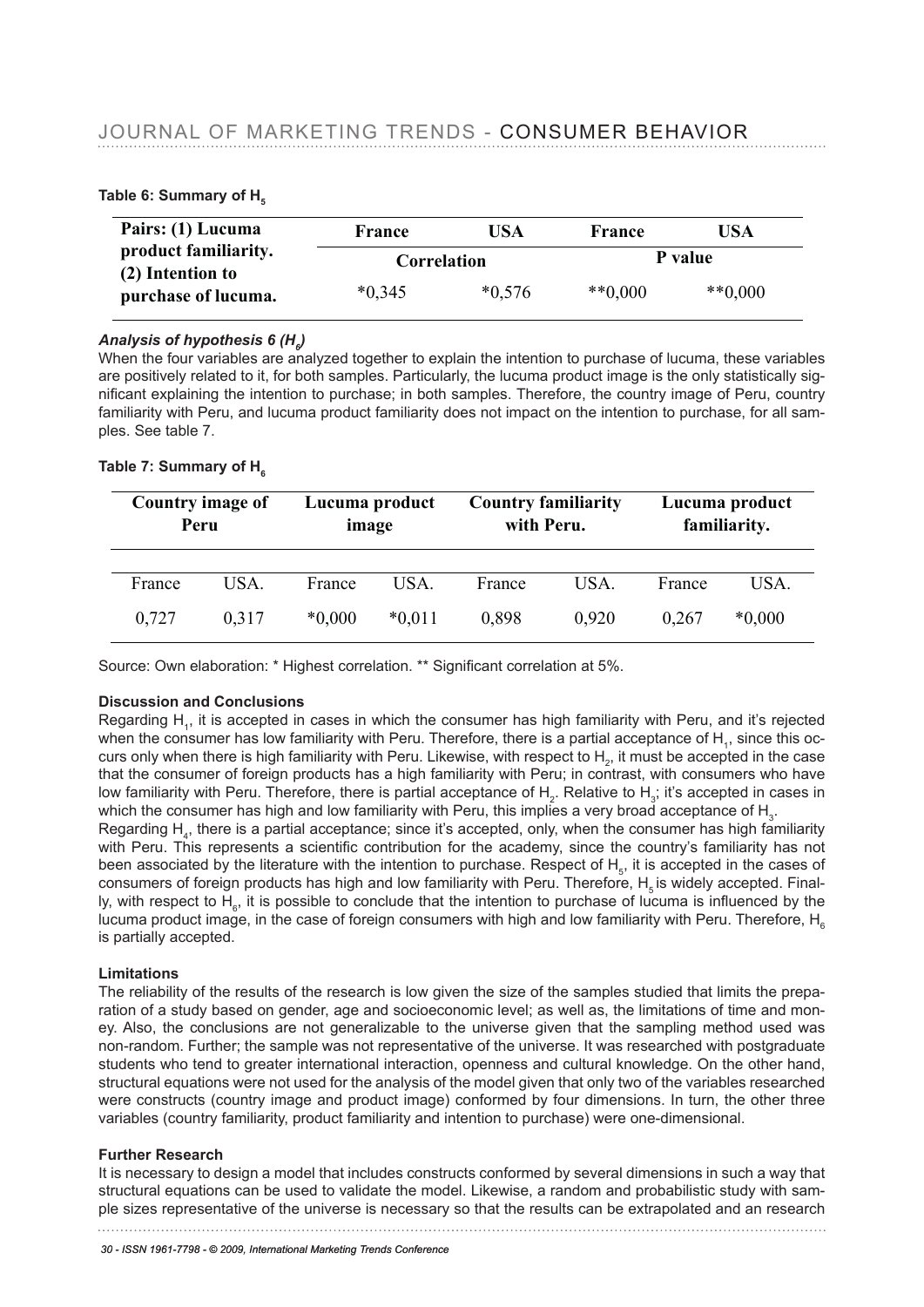#### JOURNAL OF MARKETING TRENDS - CONSUMER BEHAVIOR vunnal vi ivia<br>Datariave erano **Table 6: Summary of H5**

| Pairs: (1) Lucuma                                             | France                  | USA           | France                         | USA              |  |
|---------------------------------------------------------------|-------------------------|---------------|--------------------------------|------------------|--|
| product familiarity.<br>Table) Griftenwoary of H <sub>5</sub> | Correlation             |               |                                | P value          |  |
| <b>purchase of lucuma.</b><br>Pairs: (1) Lucuma               | <u>*0,345</u><br>France | *0,576<br>USA | $*$ $*$ 0,000<br><b>France</b> | $**0,000$<br>USA |  |
| product familiarity.<br>(2) Intention to                      | Correlation             |               |                                | P value          |  |
| purchase of lucuma.                                           | $*0,345$                | $*0.576$      | $**0.000$                      | $**0,000$        |  |

### Analysis of hypothesis 6 (H<sub>e</sub>) are positively related to it, for both samples. Particularly, the lucuma production  $\theta$

When the four variables are analyzed together to explain the intention to purchase of lucuma, these variables<br>are positively related to it, for both complex. Pertiaularly, the lucuma product image is the only statistically are positively related to it, for both samples. Particularly, the lucuma product image is the only statistically sig-<br>Therefore, the intention the intention to angeles and luck country. Therefore, the country income of Per nificant explaining the intention to purchase; in both samples. Therefore, the country image of Peru, country familiarity with Peru, and lucuma product familiarity does not impact on the intention to purchase, for all samples. See table 7. image is the only statistically significant explanat explanation to purchase; in the intention to purchase; in both samples. The intention to purchase  $\mathbb{R}$ familiary does not impact on the international control of the intensive formation to purchase of all samples o<br>See the intention to purchase in the intentional samples. The intensive formation to purchase

When the four variables are analyzed to explain the intention to explain the intention to purchase of  $\alpha$ 

# $\mathsf{Table}$  7: Summary of  $\mathsf{H}_{_6}$

| Country image of<br>Peru | Lucuma product<br>image | <b>Country familiarity</b><br>with Peru. | Lucuma product<br>familiarity.    |
|--------------------------|-------------------------|------------------------------------------|-----------------------------------|
|                          |                         |                                          |                                   |
| <b>Figuntry</b> imagg pf | <b>EHAHADA</b> prodykt  | Gountsy familiarity                      | <b>H<sub>r</sub>yguma</b> product |

Source: Own elaboration: \* Highest correlation. \*\* Signifcant correlation at 5%. Source: Own elaboration: \* Highest correlation. \*\* Significant correlation at 5%.

## **Discussion and Conclusions Discussion and Conclusions**

Regarding  $H_i$ , it is accepted in cases in which the consumer has high familiarity with Peru, and it's rejected Regarding H<sub>1</sub>, it is accepted in cases in which the consumer has high familiarity with Peru, and it's rejected when the consumer has low familiarity with Peru. Therefore, there is a partial acceptance of H<sub>1</sub>, since this curs only when there is high familiarity with Peru. Likewise, with respect to  $H_2$ , it must be accepted in the case that the consumer of foreign products has a high familiarity with Peru; in contrast, with consumers who have low familiarity with Peru. Therefore, there is partial acceptance of H<sub>2</sub>. Relative to H<sub>3</sub>; it's accepted in cases in which the consumer has high and low familiarity with Peru, this implies a very broad acceptance of  $\mathsf{H}_{3}$ .

Regarding  $H_4$ , there is a partial acceptance; since it's accepted, only, when the consumer has high familiarity  $\frac{1}{2}$ with Peru. This represents a scientific contribution for the academy, since the country's familiarity has not<br>been associated by the literature with the intention to purchase. Beenest of H3. it is associated in the sesse o been associated by the literature with the intention to purchase. Respect of  $H_{5}$ , it is accepted in the cases of been associated by the inerature with the intention to purchase. Respect of  $H_s$  it is accepted in the cases of consumers of foreign products has high and low familiarity with Peru. Therefore,  $H_s$  is widely accepted. Fin ly, with respect to  $H_e$ , it is possible to conclude that the intention to purchase of lucuma is influenced by the lucuma product image, in the case of foreign consumers with high and low familiarity with Peru. Therefore, H<sub>6</sub> is partially accepted. The cases of H5, it is accepted in the cases of consumers of foreign products has high and low

#### **Limitations** familiarity with Peru. Therefore, H5 is widely accepted. Finally, with respect to H6, it is widely accepted. Finally, with respect to H6, it is widely accepted. Finally, with respect to H6, it is widely accepted. Finally,

Limitations<br>The reliability of the results of the research is low given the size of the samples studied that limits the preparation of a study based on gender, age and socioeconomic level; as well as, the limitations of time and monration of a study based on genuer, age and socioeconomic lever, as well as, the immations of time and mon-<br>ey. Also, the conclusions are not generalizable to the universe given that the sampling method used was non-random. Further; the sample was not representative of the universe. It was researched with postgraduate students who tend to greater international interaction, openness and cultural knowledge. On the other hand, **Limitations** structural equations were not used for the analysis of the model given that only two of the variables researched were constructs (country image and product image) conformed by four dimensions. In turn, the other three variables (country familiarity, product familiarity and intention to purchase) were one-dimensional. product image of the case of the case of the case of the size of the samples studied that limits the preparation of the case of the case of the case of the case of the case of the case of the case of the case of the case o

#### **Further Research**  given that the sampling method used was non-random. Further; the sample was not

r armer ressearen<br>It is necessary to design a model that includes constructs conformed by several dimensions in such a way that structural equations can be used to validate the model. Likewise, a random and probabilistic study with sam-<br>structural equations can be used to validate the model. Likewise, a random and probabilistic study with sample sizes representative of the universe is necessary so that the results can be extrapolated and an research

variables researched were constructs (country image and product image) conformed by four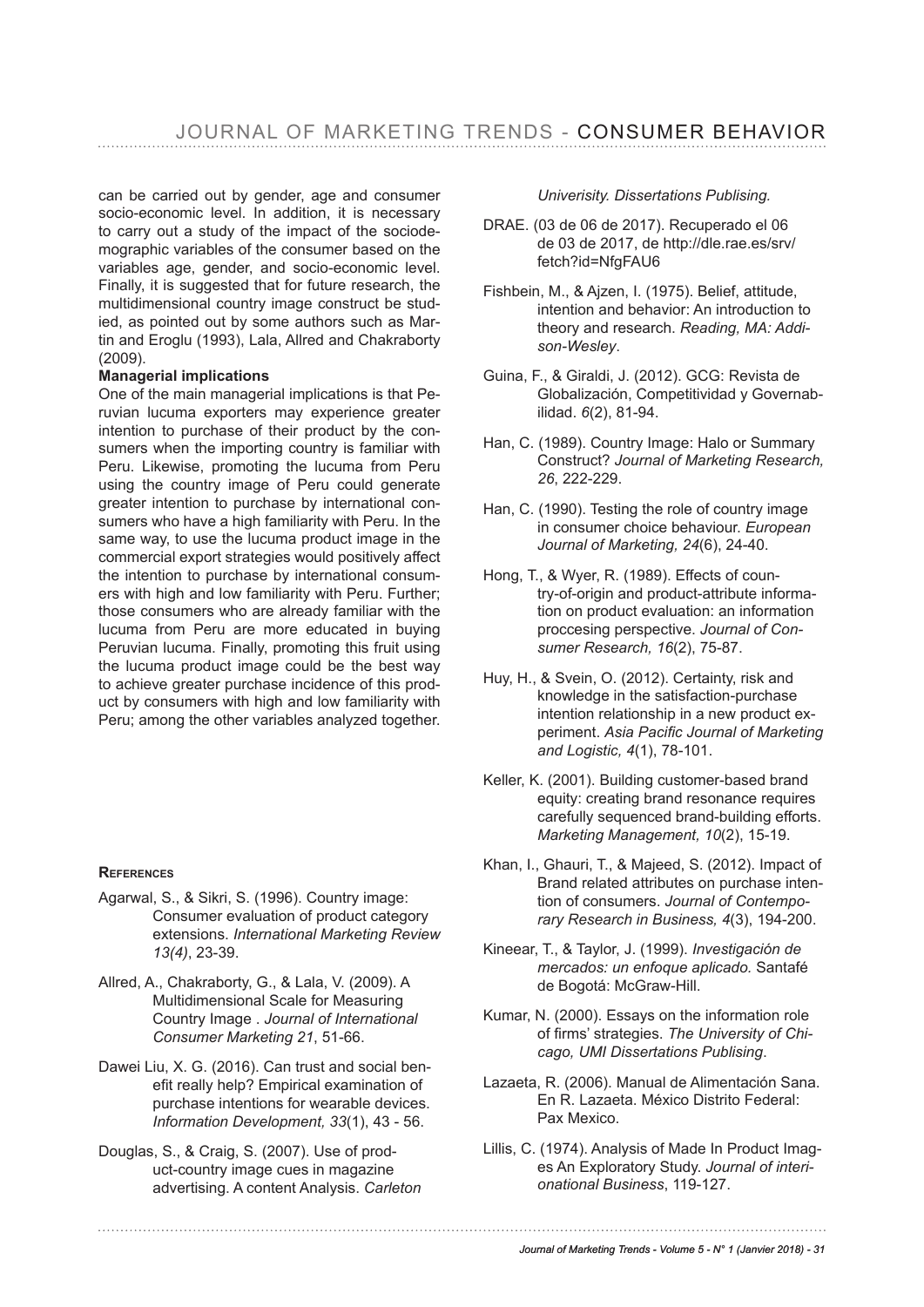can be carried out by gender, age and consumer socio-economic level. In addition, it is necessary to carry out a study of the impact of the sociodemographic variables of the consumer based on the variables age, gender, and socio-economic level. Finally, it is suggested that for future research, the multidimensional country image construct be studied, as pointed out by some authors such as Martin and Eroglu (1993), Lala, Allred and Chakraborty (2009).

### **Managerial implications**

One of the main managerial implications is that Peruvian lucuma exporters may experience greater intention to purchase of their product by the consumers when the importing country is familiar with Peru. Likewise, promoting the lucuma from Peru using the country image of Peru could generate greater intention to purchase by international consumers who have a high familiarity with Peru. In the same way, to use the lucuma product image in the commercial export strategies would positively affect the intention to purchase by international consumers with high and low familiarity with Peru. Further; those consumers who are already familiar with the lucuma from Peru are more educated in buying Peruvian lucuma. Finally, promoting this fruit using the lucuma product image could be the best way to achieve greater purchase incidence of this product by consumers with high and low familiarity with Peru; among the other variables analyzed together.

### **rEfErEncEs**

- Agarwal, S., & Sikri, S. (1996). Country image: Consumer evaluation of product category extensions. *International Marketing Review 13(4)*, 23-39.
- Allred, A., Chakraborty, G., & Lala, V. (2009). A Multidimensional Scale for Measuring Country Image . *Journal of International Consumer Marketing 21*, 51-66.
- Dawei Liu, X. G. (2016). Can trust and social benefit really help? Empirical examination of purchase intentions for wearable devices. *Information Development, 33*(1), 43 - 56.
- Douglas, S., & Craig, S. (2007). Use of product-country image cues in magazine advertising. A content Analysis. *Carleton*

### *Univerisity. Dissertations Publising.*

- DRAE. (03 de 06 de 2017). Recuperado el 06 de 03 de 2017, de http://dle.rae.es/srv/ fetch?id=NfgFAU6
- Fishbein, M., & Ajzen, I. (1975). Belief, attitude, intention and behavior: An introduction to theory and research. *Reading, MA: Addison-Wesley*.
- Guina, F., & Giraldi, J. (2012). GCG: Revista de Globalización, Competitividad y Governabilidad. *6*(2), 81-94.
- Han, C. (1989). Country Image: Halo or Summary Construct? *Journal of Marketing Research, 26*, 222-229.
- Han, C. (1990). Testing the role of country image in consumer choice behaviour. *European Journal of Marketing, 24*(6), 24-40.
- Hong, T., & Wyer, R. (1989). Effects of country-of-origin and product-attribute information on product evaluation: an information proccesing perspective. *Journal of Consumer Research, 16*(2), 75-87.
- Huy, H., & Svein, O. (2012). Certainty, risk and knowledge in the satisfaction-purchase intention relationship in a new product experiment. *Asia Pacifc Journal of Marketing and Logistic, 4*(1), 78-101.
- Keller, K. (2001). Building customer-based brand equity: creating brand resonance requires carefully sequenced brand-building efforts. *Marketing Management, 10*(2), 15-19.
- Khan, I., Ghauri, T., & Majeed, S. (2012). Impact of Brand related attributes on purchase intention of consumers. *Journal of Contemporary Research in Business, 4*(3), 194-200.
- Kineear, T., & Taylor, J. (1999). *Investigación de mercados: un enfoque aplicado.* Santafé de Bogotá: McGraw-Hill.
- Kumar, N. (2000). Essays on the information role of frms' strategies. *The University of Chicago, UMI Dissertations Publising*.
- Lazaeta, R. (2006). Manual de Alimentación Sana. En R. Lazaeta. México Distrito Federal: Pax Mexico.
- Lillis, C. (1974). Analysis of Made In Product Images An Exploratory Study. *Journal of interionational Business*, 119-127.

#### *Journal of Marketing Trends - Volume 5 - N° 1 (Janvier 2018) - 31*